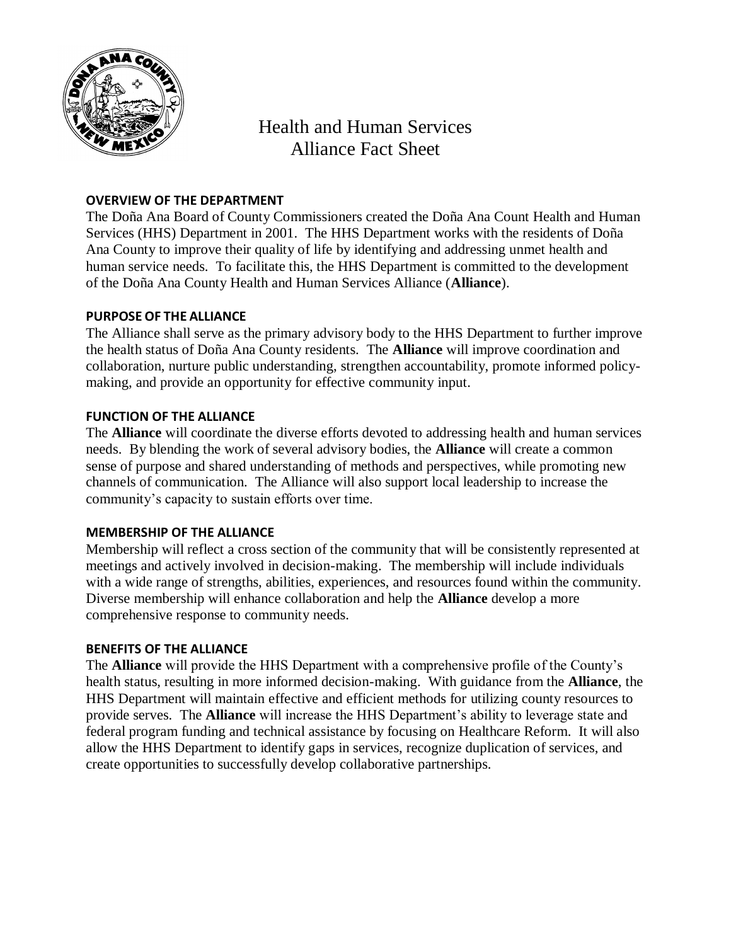

# Health and Human Services Alliance Fact Sheet

# **OVERVIEW OF THE DEPARTMENT**

The Doña Ana Board of County Commissioners created the Doña Ana Count Health and Human Services (HHS) Department in 2001. The HHS Department works with the residents of Doña Ana County to improve their quality of life by identifying and addressing unmet health and human service needs. To facilitate this, the HHS Department is committed to the development of the Doña Ana County Health and Human Services Alliance (**Alliance**).

#### **PURPOSE OF THE ALLIANCE**

The Alliance shall serve as the primary advisory body to the HHS Department to further improve the health status of Doña Ana County residents. The **Alliance** will improve coordination and collaboration, nurture public understanding, strengthen accountability, promote informed policymaking, and provide an opportunity for effective community input.

#### **FUNCTION OF THE ALLIANCE**

The **Alliance** will coordinate the diverse efforts devoted to addressing health and human services needs. By blending the work of several advisory bodies, the **Alliance** will create a common sense of purpose and shared understanding of methods and perspectives, while promoting new channels of communication. The Alliance will also support local leadership to increase the community's capacity to sustain efforts over time.

## **MEMBERSHIP OF THE ALLIANCE**

Membership will reflect a cross section of the community that will be consistently represented at meetings and actively involved in decision-making. The membership will include individuals with a wide range of strengths, abilities, experiences, and resources found within the community. Diverse membership will enhance collaboration and help the **Alliance** develop a more comprehensive response to community needs.

## **BENEFITS OF THE ALLIANCE**

The **Alliance** will provide the HHS Department with a comprehensive profile of the County's health status, resulting in more informed decision-making. With guidance from the **Alliance**, the HHS Department will maintain effective and efficient methods for utilizing county resources to provide serves. The **Alliance** will increase the HHS Department's ability to leverage state and federal program funding and technical assistance by focusing on Healthcare Reform. It will also allow the HHS Department to identify gaps in services, recognize duplication of services, and create opportunities to successfully develop collaborative partnerships.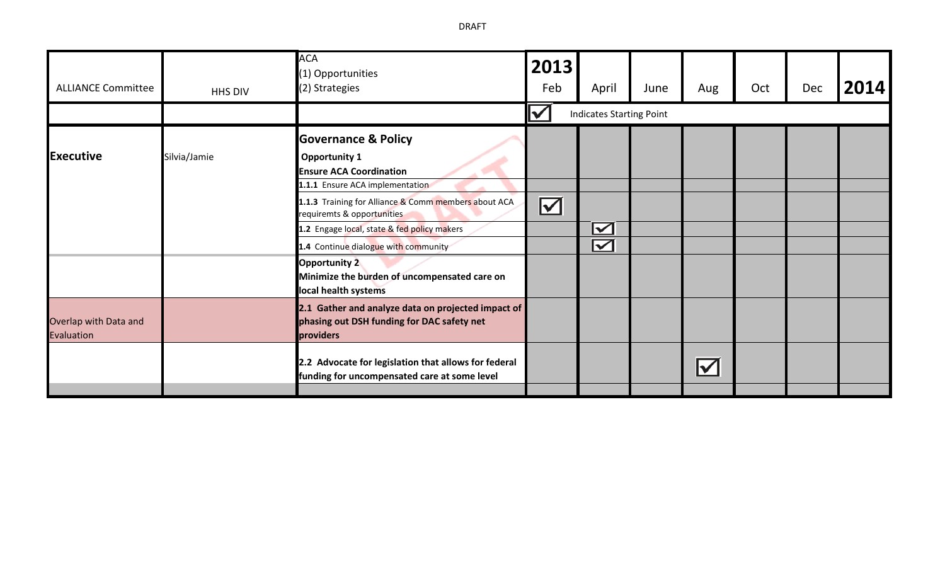| <b>ALLIANCE Committee</b>                  | HHS DIV      | <b>ACA</b><br>(1) Opportunities<br>(2) Strategies                                                                                                                                   | 2013<br>Feb              | April                                          | June | Aug                                   | Oct | Dec | 2014 |
|--------------------------------------------|--------------|-------------------------------------------------------------------------------------------------------------------------------------------------------------------------------------|--------------------------|------------------------------------------------|------|---------------------------------------|-----|-----|------|
|                                            |              |                                                                                                                                                                                     |                          | <b>Indicates Starting Point</b>                |      |                                       |     |     |      |
| <b>Executive</b>                           | Silvia/Jamie | <b>Governance &amp; Policy</b><br><b>Opportunity 1</b><br><b>Ensure ACA Coordination</b><br>1.1.1 Ensure ACA implementation<br>1.1.3 Training for Alliance & Comm members about ACA |                          |                                                |      |                                       |     |     |      |
|                                            |              | requiremts & opportunities<br>1.2 Engage local, state & fed policy makers<br>1.4 Continue dialogue with community                                                                   | $\boldsymbol{\boxtimes}$ | $\boldsymbol{\nabla}$<br>$\boldsymbol{\nabla}$ |      |                                       |     |     |      |
|                                            |              | <b>Opportunity 2</b><br>Minimize the burden of uncompensated care on<br>local health systems                                                                                        |                          |                                                |      |                                       |     |     |      |
| Overlap with Data and<br><b>Evaluation</b> |              | 2.1 Gather and analyze data on projected impact of<br>phasing out DSH funding for DAC safety net<br>providers                                                                       |                          |                                                |      |                                       |     |     |      |
|                                            |              | 2.2 Advocate for legislation that allows for federal<br>funding for uncompensated care at some level                                                                                |                          |                                                |      | $\boldsymbol{\mathsf{ \mathcal{V} }}$ |     |     |      |

DRAFT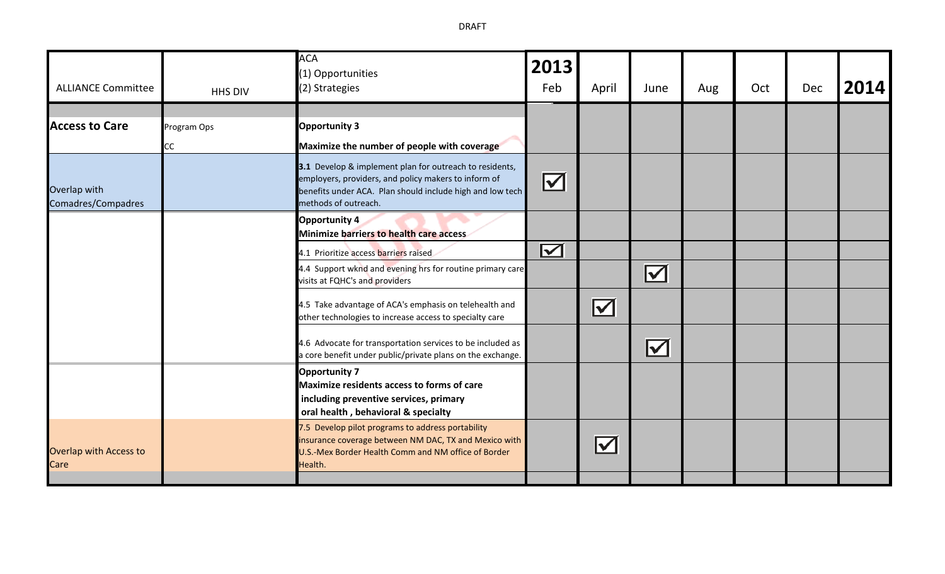| <b>ALLIANCE Committee</b>             | HHS DIV                  | <b>ACA</b><br>(1) Opportunities<br>(2) Strategies                                                                                                                                                    | 2013<br>Feb           | April                 | June                     | Aug | Oct | Dec | 2014 |
|---------------------------------------|--------------------------|------------------------------------------------------------------------------------------------------------------------------------------------------------------------------------------------------|-----------------------|-----------------------|--------------------------|-----|-----|-----|------|
| <b>Access to Care</b>                 | Program Ops<br><b>CC</b> | <b>Opportunity 3</b><br>Maximize the number of people with coverage                                                                                                                                  |                       |                       |                          |     |     |     |      |
| Overlap with<br>Comadres/Compadres    |                          | 3.1 Develop & implement plan for outreach to residents,<br>employers, providers, and policy makers to inform of<br>benefits under ACA. Plan should include high and low tech<br>methods of outreach. | $\blacktriangleright$ |                       |                          |     |     |     |      |
|                                       |                          | Opportunity 4<br><b>Minimize barriers to health care access</b>                                                                                                                                      |                       |                       |                          |     |     |     |      |
|                                       |                          | 4.1 Prioritize access barriers raised<br>4.4 Support wknd and evening hrs for routine primary care<br>visits at FQHC's and providers                                                                 | $\boldsymbol{\nabla}$ |                       | $\boldsymbol{\boxtimes}$ |     |     |     |      |
|                                       |                          | 4.5 Take advantage of ACA's emphasis on telehealth and<br>other technologies to increase access to specialty care                                                                                    |                       | $\boldsymbol{\nabla}$ |                          |     |     |     |      |
|                                       |                          | 4.6 Advocate for transportation services to be included as<br>a core benefit under public/private plans on the exchange.                                                                             |                       |                       | $\boldsymbol{\nabla}$    |     |     |     |      |
|                                       |                          | <b>Opportunity 7</b><br>Maximize residents access to forms of care<br>including preventive services, primary<br>oral health, behavioral & specialty                                                  |                       |                       |                          |     |     |     |      |
| <b>Overlap with Access to</b><br>Care |                          | 7.5 Develop pilot programs to address portability<br>insurance coverage between NM DAC, TX and Mexico with<br>U.S.-Mex Border Health Comm and NM office of Border<br>Health.                         |                       | $\blacktriangledown$  |                          |     |     |     |      |

DRAFT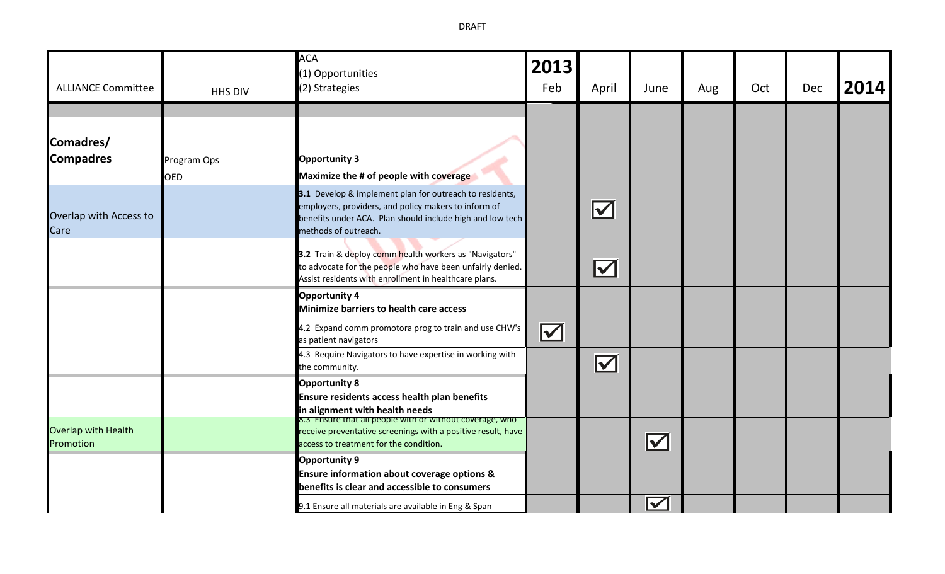DRAFT

| <b>ALLIANCE Committee</b>               | HHS DIV                   | <b>ACA</b><br>(1) Opportunities<br>(2) Strategies                                                                                                                                                    | 2013<br>Feb           | April                             | June                 | Aug | Oct | Dec | 2014 |
|-----------------------------------------|---------------------------|------------------------------------------------------------------------------------------------------------------------------------------------------------------------------------------------------|-----------------------|-----------------------------------|----------------------|-----|-----|-----|------|
| Comadres/<br><b>Compadres</b>           | Program Ops<br><b>OED</b> | <b>Opportunity 3</b><br>Maximize the # of people with coverage                                                                                                                                       |                       |                                   |                      |     |     |     |      |
| Overlap with Access to<br>Care          |                           | 3.1 Develop & implement plan for outreach to residents,<br>employers, providers, and policy makers to inform of<br>benefits under ACA. Plan should include high and low tech<br>methods of outreach. |                       | $\blacktriangledown$              |                      |     |     |     |      |
|                                         |                           | 3.2 Train & deploy comm health workers as "Navigators"<br>to advocate for the people who have been unfairly denied.<br>Assist residents with enrollment in healthcare plans.                         |                       | $\boldsymbol{\blacktriangledown}$ |                      |     |     |     |      |
|                                         |                           | <b>Opportunity 4</b><br><b>Minimize barriers to health care access</b>                                                                                                                               |                       |                                   |                      |     |     |     |      |
|                                         |                           | 4.2 Expand comm promotora prog to train and use CHW's<br>as patient navigators                                                                                                                       | $\blacktriangleright$ |                                   |                      |     |     |     |      |
|                                         |                           | 4.3 Require Navigators to have expertise in working with<br>the community.                                                                                                                           |                       | $\blacktriangledown$              |                      |     |     |     |      |
|                                         |                           | <b>Opportunity 8</b><br>Ensure residents access health plan benefits<br>in alignment with health needs                                                                                               |                       |                                   |                      |     |     |     |      |
| <b>Overlap with Health</b><br>Promotion |                           | 8.3 Ensure that all people with or without coverage, who<br>receive preventative screenings with a positive result, have<br>access to treatment for the condition.                                   |                       |                                   | $\blacktriangledown$ |     |     |     |      |
|                                         |                           | <b>Opportunity 9</b><br><b>Ensure information about coverage options &amp;</b><br>benefits is clear and accessible to consumers                                                                      |                       |                                   |                      |     |     |     |      |
|                                         |                           | 9.1 Ensure all materials are available in Eng & Span                                                                                                                                                 |                       |                                   | $\blacktriangledown$ |     |     |     |      |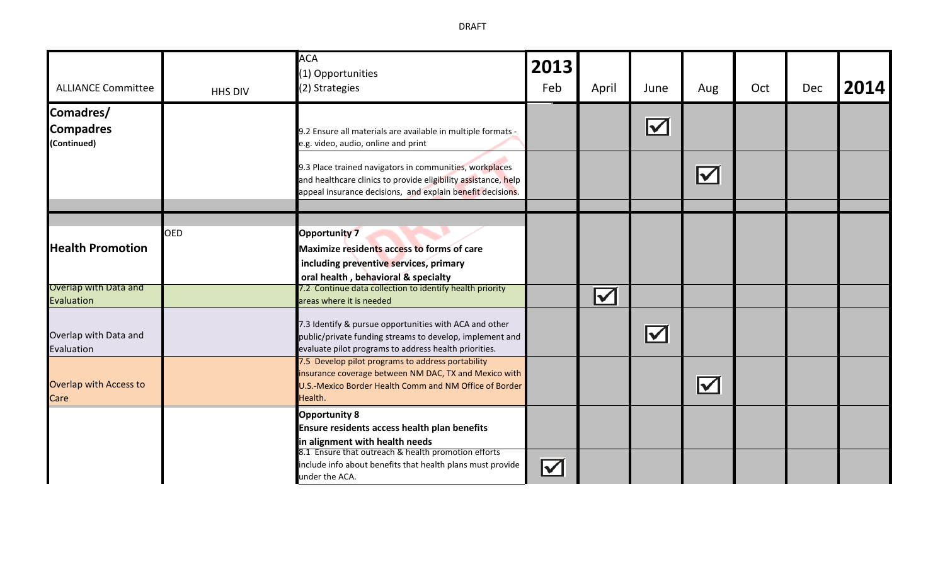**ACA 2013**  (1) Opportunities Feb April June Aug Oct Dec **2014** ALLIANCE Committee HHS DIV (2) Strategies **Comadres/** Indicates Starting Point **Compadres**  9.2 Ensure all materials are available in multiple formats - **(Continued)** e.g. video, audio, online and print 9.3 Place trained navigators in communities, workplaces  $\overline{\mathbf{M}}$ and healthcare clinics to provide eligibility assistance, help appeal insurance decisions, and explain benefit decisions. OED **Opportunity 7 Health Promotion including preventive services, primary oral health , behavioral & specialty** Overlap with Data and 7.2 Continue data collection to identify health priority  $\blacktriangledown$ areas where it is needed Evaluation 7.3 Identify & pursue opportunities with ACA and other  $\boldsymbol{\nabla}$ Overlap with Data and public/private funding streams to develop, implement and Evaluation evaluate pilot programs to address health priorities. 7.5 Develop pilot programs to address portability insurance coverage between NM DAC, TX and Mexico with  $\boxed{\checkmark}$ Overlap with Access to U.S.-Mexico Border Health Comm and NM Office of Border **Care** Health. **Opportunity 8 Ensure residents access health plan benefits in alignment with health needs** 8.1 Ensure that outreach & health promotion efforts include info about benefits that health plans must provide  $\boldsymbol{\nabla}$ under the ACA.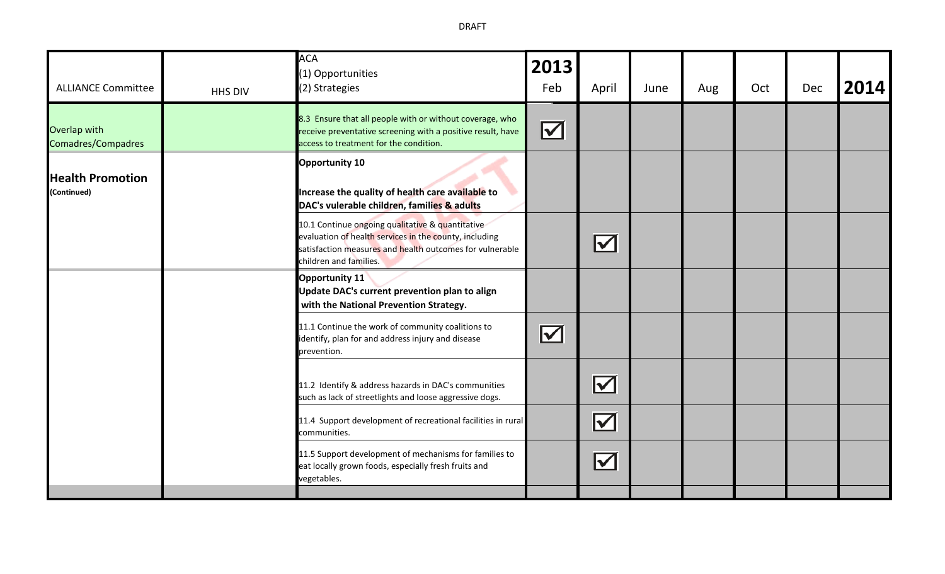| <b>ALLIANCE Committee</b>                 | HHS DIV | <b>ACA</b><br>(1) Opportunities<br>(2) Strategies                                                                                                                                                | 2013<br>Feb           | April                | June | Aug | Oct | <b>Dec</b> | 2014 |
|-------------------------------------------|---------|--------------------------------------------------------------------------------------------------------------------------------------------------------------------------------------------------|-----------------------|----------------------|------|-----|-----|------------|------|
| Overlap with<br><b>Comadres/Compadres</b> |         | 8.3 Ensure that all people with or without coverage, who<br>receive preventative screening with a positive result, have<br>access to treatment for the condition.                                | $\boldsymbol{\nabla}$ |                      |      |     |     |            |      |
| <b>Health Promotion</b><br>(Continued)    |         | <b>Opportunity 10</b><br>Increase the quality of health care available to<br>DAC's vulerable children, families & adults                                                                         |                       |                      |      |     |     |            |      |
|                                           |         | 10.1 Continue ongoing qualitative & quantitative<br>evaluation of health services in the county, including<br>satisfaction measures and health outcomes for vulnerable<br>children and families. |                       | $\blacktriangledown$ |      |     |     |            |      |
|                                           |         | <b>Opportunity 11</b><br>Update DAC's current prevention plan to align<br>with the National Prevention Strategy.                                                                                 |                       |                      |      |     |     |            |      |
|                                           |         | 11.1 Continue the work of community coalitions to<br>identify, plan for and address injury and disease<br>prevention.                                                                            | $\blacktriangleright$ |                      |      |     |     |            |      |
|                                           |         | 11.2 Identify & address hazards in DAC's communities<br>such as lack of streetlights and loose aggressive dogs.                                                                                  |                       | $\blacktriangledown$ |      |     |     |            |      |
|                                           |         | 11.4 Support development of recreational facilities in rural<br>communities.                                                                                                                     |                       | $\blacktriangledown$ |      |     |     |            |      |
|                                           |         | 11.5 Support development of mechanisms for families to<br>eat locally grown foods, especially fresh fruits and<br>vegetables.                                                                    |                       | $\blacktriangledown$ |      |     |     |            |      |
|                                           |         |                                                                                                                                                                                                  |                       |                      |      |     |     |            |      |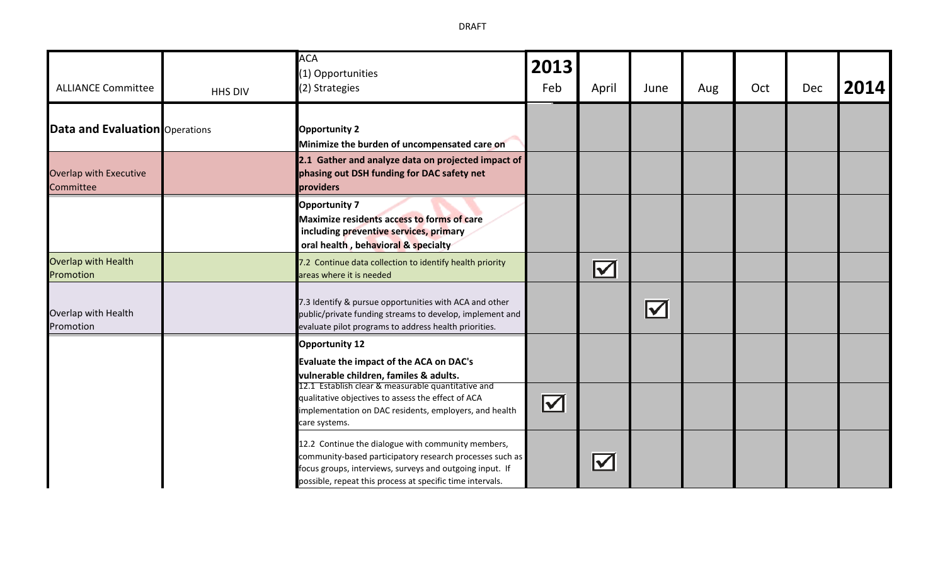| <b>ALLIANCE Committee</b>                  | HHS DIV | <b>ACA</b><br>(1) Opportunities<br>(2) Strategies                                                                                                                                                                                                                                                 | 2013<br>Feb          | April                | June                  | Aug | Oct | <b>Dec</b> | 2014 |
|--------------------------------------------|---------|---------------------------------------------------------------------------------------------------------------------------------------------------------------------------------------------------------------------------------------------------------------------------------------------------|----------------------|----------------------|-----------------------|-----|-----|------------|------|
| <b>Data and Evaluation</b> Operations      |         | <b>Opportunity 2</b><br>Minimize the burden of uncompensated care on                                                                                                                                                                                                                              |                      |                      |                       |     |     |            |      |
| <b>Overlap with Executive</b><br>Committee |         | 2.1 Gather and analyze data on projected impact of<br>phasing out DSH funding for DAC safety net<br>providers                                                                                                                                                                                     |                      |                      |                       |     |     |            |      |
|                                            |         | <b>Opportunity 7</b><br><b>Maximize residents access to forms of care</b><br>including preventive services, primary<br>oral health, behavioral & specialty                                                                                                                                        |                      |                      |                       |     |     |            |      |
| <b>Overlap with Health</b><br>Promotion    |         | 7.2 Continue data collection to identify health priority<br>areas where it is needed                                                                                                                                                                                                              |                      | $\blacktriangledown$ |                       |     |     |            |      |
| Overlap with Health<br>Promotion           |         | 7.3 Identify & pursue opportunities with ACA and other<br>public/private funding streams to develop, implement and<br>evaluate pilot programs to address health priorities.                                                                                                                       |                      |                      | $\blacktriangleright$ |     |     |            |      |
|                                            |         | <b>Opportunity 12</b><br>Evaluate the impact of the ACA on DAC's<br>vulnerable children, familes & adults.<br>12.1 Establish clear & measurable quantitative and<br>qualitative objectives to assess the effect of ACA<br>implementation on DAC residents, employers, and health<br>care systems. | $\blacktriangledown$ |                      |                       |     |     |            |      |
|                                            |         | 12.2 Continue the dialogue with community members,<br>community-based participatory research processes such as<br>focus groups, interviews, surveys and outgoing input. If<br>possible, repeat this process at specific time intervals.                                                           |                      | $\blacktriangledown$ |                       |     |     |            |      |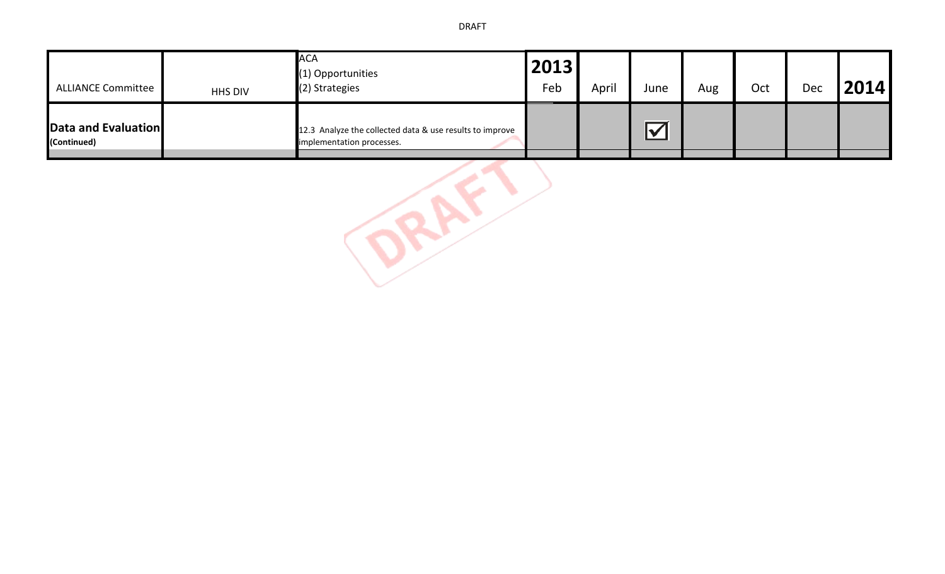| <b>ALLIANCE Committee</b>          | HHS DIV | <b>ACA</b><br>(1) Opportunities<br>(2) Strategies                                     | 2013<br>Feb | April | June                       | Aug | Oct | Dec | 2014 |
|------------------------------------|---------|---------------------------------------------------------------------------------------|-------------|-------|----------------------------|-----|-----|-----|------|
| Data and Evaluation<br>(Continued) |         | 12.3 Analyze the collected data & use results to improve<br>implementation processes. |             |       | $\boldsymbol{\mathcal{N}}$ |     |     |     |      |